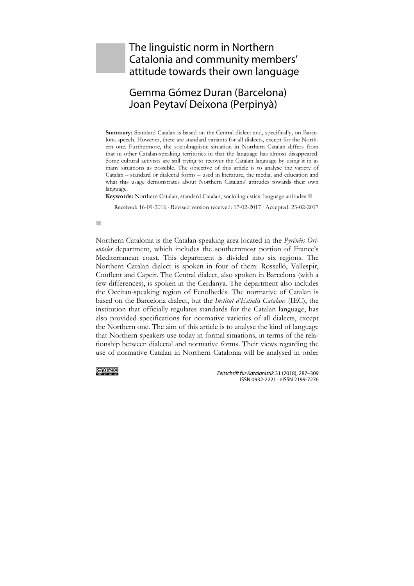# The linguistic norm in Northern Catalonia and community members' attitude towards their own language

# Gemma Gómez Duran (Barcelona) Joan Peytaví Deixona (Perpinyà)

**Summary:** Standard Catalan is based on the Central dialect and, specifically, on Barcelona speech. However, there are standard variants for all dialects, except for the Northern one. Furthermore, the sociolinguistic situation in Northern Catalan differs from that in other Catalan-speaking territories in that the language has almost disappeared. Some cultural activists are still trying to recover the Catalan language by using it in as many situations as possible. The objective of this article is to analyse the variety of Catalan – standard or dialectal forms – used in literature, the media, and education and what this usage demonstrates about Northern Catalans' attitudes towards their own language.

**Keywords:** Northern Catalan, standard Catalan, sociolinguistics, language attitudes

Received: 16-09-2016 ∙ Revised version received: 17-02-2017 ∙ Accepted: 23-02-2017

#### m.

Northern Catalonia is the Catalan-speaking area located in the *Pyrénées Orientales* department, which includes the southernmost portion of France's Mediterranean coast. This department is divided into six regions. The Northern Catalan dialect is spoken in four of them: Rosselló, Vallespir, Conflent and Capcir. The Central dialect, also spoken in Barcelona (with a few differences), is spoken in the Cerdanya. The department also includes the Occitan-speaking region of Fenolhedés. The normative of Catalan is based on the Barcelona dialect, but the *Institut d'Estudis Catalans* (IEC), the institution that officially regulates standards for the Catalan language, has also provided specifications for normative varieties of all dialects, except the Northern one. The aim of this article is to analyse the kind of language that Northern speakers use today in formal situations, in terms of the relationship between dialectal and normative forms. Their views regarding the use of normative Catalan in Northern Catalonia will be analysed in order

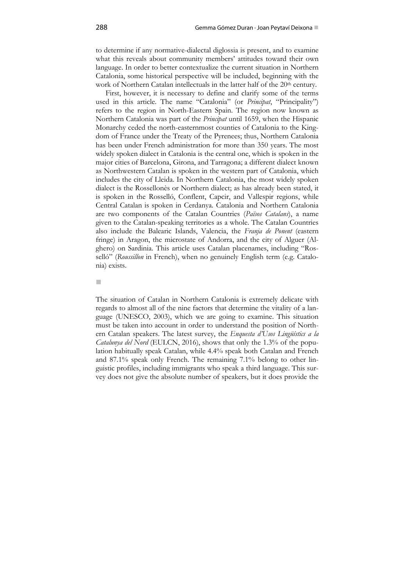to determine if any normative-dialectal diglossia is present, and to examine what this reveals about community members' attitudes toward their own language. In order to better contextualize the current situation in Northern Catalonia, some historical perspective will be included, beginning with the work of Northern Catalan intellectuals in the latter half of the 20<sup>th</sup> century.

First, however, it is necessary to define and clarify some of the terms used in this article. The name "Catalonia" (or *Principat*, "Principality") refers to the region in North-Eastern Spain. The region now known as Northern Catalonia was part of the *Principat* until 1659, when the Hispanic Monarchy ceded the north-easternmost counties of Catalonia to the Kingdom of France under the Treaty of the Pyrenees; thus, Northern Catalonia has been under French administration for more than 350 years. The most widely spoken dialect in Catalonia is the central one, which is spoken in the major cities of Barcelona, Girona, and Tarragona; a different dialect known as Northwestern Catalan is spoken in the western part of Catalonia, which includes the city of Lleida. In Northern Catalonia, the most widely spoken dialect is the Rossellonès or Northern dialect; as has already been stated, it is spoken in the Rosselló, Conflent, Capcir, and Vallespir regions, while Central Catalan is spoken in Cerdanya. Catalonia and Northern Catalonia are two components of the Catalan Countries (*Països Catalans*), a name given to the Catalan-speaking territories as a whole. The Catalan Countries also include the Balearic Islands, Valencia, the *Franja de Ponent* (eastern fringe) in Aragon, the microstate of Andorra, and the city of Alguer (Alghero) on Sardinia. This article uses Catalan placenames, including "Rosselló" (*Roussillon* in French), when no genuinely English term (e.g. Catalonia) exists.

m.

The situation of Catalan in Northern Catalonia is extremely delicate with regards to almost all of the nine factors that determine the vitality of a language (UNESCO, 2003), which we are going to examine. This situation must be taken into account in order to understand the position of Northern Catalan speakers. The latest survey, the *Enquesta d'Usos Lingüístics a la Catalunya del Nord* (EULCN, 2016), shows that only the 1.3% of the population habitually speak Catalan, while 4.4% speak both Catalan and French and 87.1% speak only French. The remaining 7.1% belong to other linguistic profiles, including immigrants who speak a third language. This survey does not give the absolute number of speakers, but it does provide the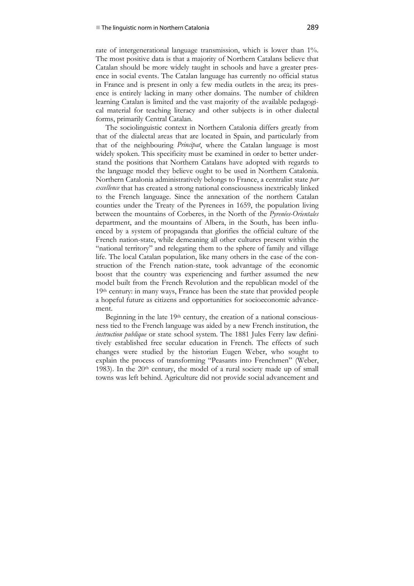rate of intergenerational language transmission, which is lower than 1%. The most positive data is that a majority of Northern Catalans believe that Catalan should be more widely taught in schools and have a greater presence in social events. The Catalan language has currently no official status in France and is present in only a few media outlets in the area; its presence is entirely lacking in many other domains. The number of children learning Catalan is limited and the vast majority of the available pedagogical material for teaching literacy and other subjects is in other dialectal forms, primarily Central Catalan.

The sociolinguistic context in Northern Catalonia differs greatly from that of the dialectal areas that are located in Spain, and particularly from that of the neighbouring *Principat*, where the Catalan language is most widely spoken. This specificity must be examined in order to better understand the positions that Northern Catalans have adopted with regards to the language model they believe ought to be used in Northern Catalonia. Northern Catalonia administratively belongs to France, a centralist state *par excellence* that has created a strong national consciousness inextricably linked to the French language. Since the annexation of the northern Catalan counties under the Treaty of the Pyrenees in 1659, the population living between the mountains of Corberes, in the North of the *Pyrenées-Orientales* department, and the mountains of Albera, in the South, has been influenced by a system of propaganda that glorifies the official culture of the French nation-state, while demeaning all other cultures present within the "national territory" and relegating them to the sphere of family and village life. The local Catalan population, like many others in the case of the construction of the French nation-state, took advantage of the economic boost that the country was experiencing and further assumed the new model built from the French Revolution and the republican model of the 19<sup>th</sup> century: in many ways, France has been the state that provided people a hopeful future as citizens and opportunities for socioeconomic advancement.

Beginning in the late 19th century, the creation of a national consciousness tied to the French language was aided by a new French institution, the *instruction publique* or state school system. The 1881 Jules Ferry law definitively established free secular education in French. The effects of such changes were studied by the historian Eugen Weber, who sought to explain the process of transforming "Peasants into Frenchmen" (Weber, 1983). In the  $20<sup>th</sup>$  century, the model of a rural society made up of small towns was left behind. Agriculture did not provide social advancement and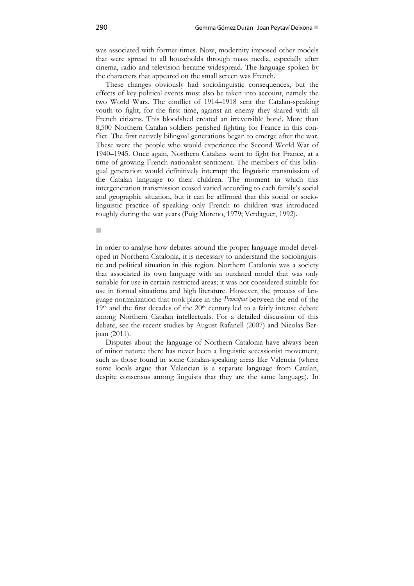was associated with former times. Now, modernity imposed other models that were spread to all households through mass media, especially after cinema, radio and television became widespread. The language spoken by the characters that appeared on the small screen was French.

These changes obviously had sociolinguistic consequences, but the effects of key political events must also be taken into account, namely the two World Wars. The conflict of 1914–1918 sent the Catalan-speaking youth to fight, for the first time, against an enemy they shared with all French citizens. This bloodshed created an irreversible bond. More than 8,500 Northern Catalan soldiers perished fighting for France in this conflict. The first natively bilingual generations began to emerge after the war. These were the people who would experience the Second World War of 1940–1945. Once again, Northern Catalans went to fight for France, at a time of growing French nationalist sentiment. The members of this bilingual generation would definitively interrupt the linguistic transmission of the Catalan language to their children. The moment in which this intergeneration transmission ceased varied according to each family's social and geographic situation, but it can be affirmed that this social or sociolinguistic practice of speaking only French to children was introduced roughly during the war years (Puig Moreno, 1979; Verdaguer, 1992).

In order to analyse how debates around the proper language model developed in Northern Catalonia, it is necessary to understand the sociolinguistic and political situation in this region. Northern Catalonia was a society that associated its own language with an outdated model that was only suitable for use in certain restricted areas; it was not considered suitable for use in formal situations and high literature. However, the process of language normalization that took place in the *Principat* between the end of the 19th and the first decades of the 20th century led to a fairly intense debate among Northern Catalan intellectuals. For a detailed discussion of this debate, see the recent studies by August Rafanell (2007) and Nicolas Berjoan (2011).

Disputes about the language of Northern Catalonia have always been of minor nature; there has never been a linguistic secessionist movement, such as those found in some Catalan-speaking areas like Valencia (where some locals argue that Valencian is a separate language from Catalan, despite consensus among linguists that they are the same language). In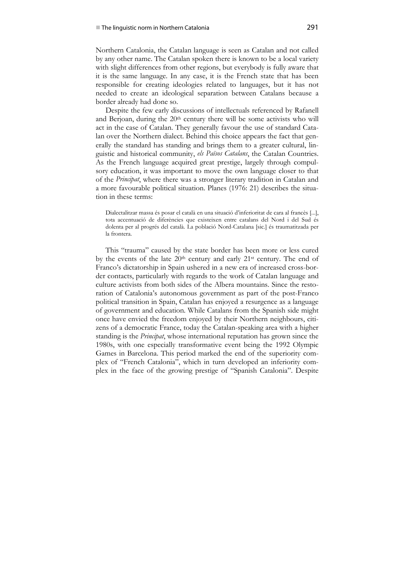Northern Catalonia, the Catalan language is seen as Catalan and not called by any other name. The Catalan spoken there is known to be a local variety with slight differences from other regions, but everybody is fully aware that it is the same language. In any case, it is the French state that has been responsible for creating ideologies related to languages, but it has not needed to create an ideological separation between Catalans because a border already had done so.

Despite the few early discussions of intellectuals referenced by Rafanell and Berjoan, during the 20<sup>th</sup> century there will be some activists who will act in the case of Catalan. They generally favour the use of standard Catalan over the Northern dialect. Behind this choice appears the fact that generally the standard has standing and brings them to a greater cultural, linguistic and historical community, *els Països Catalans*, the Catalan Countries. As the French language acquired great prestige, largely through compulsory education, it was important to move the own language closer to that of the *Principat*, where there was a stronger literary tradition in Catalan and a more favourable political situation. Planes (1976: 21) describes the situation in these terms:

Dialectalitzar massa és posar el català en una situació d'inferioritat de cara al francès [...], tota accentuació de diferències que existeixen entre catalans del Nord i del Sud és dolenta per al progrés del català. La població Nord-Catalana [sic.] és traumatitzada per la frontera.

This "trauma" caused by the state border has been more or less cured by the events of the late  $20<sup>th</sup>$  century and early  $21<sup>st</sup>$  century. The end of Franco's dictatorship in Spain ushered in a new era of increased cross-border contacts, particularly with regards to the work of Catalan language and culture activists from both sides of the Albera mountains. Since the restoration of Catalonia's autonomous government as part of the post-Franco political transition in Spain, Catalan has enjoyed a resurgence as a language of government and education. While Catalans from the Spanish side might once have envied the freedom enjoyed by their Northern neighbours, citizens of a democratic France, today the Catalan-speaking area with a higher standing is the *Principat*, whose international reputation has grown since the 1980s, with one especially transformative event being the 1992 Olympic Games in Barcelona. This period marked the end of the superiority complex of "French Catalonia", which in turn developed an inferiority complex in the face of the growing prestige of "Spanish Catalonia". Despite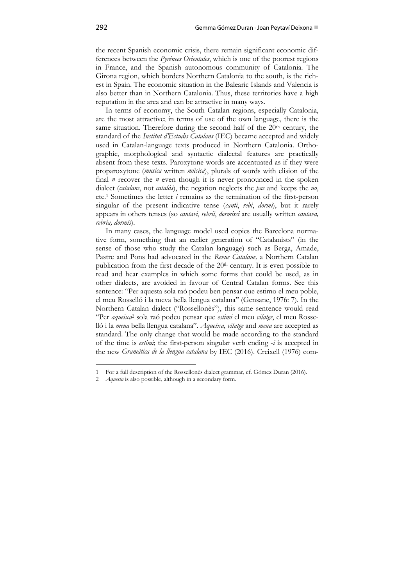the recent Spanish economic crisis, there remain significant economic differences between the *Pyrénees Orientales*, which is one of the poorest regions in France, and the Spanish autonomous community of Catalonia. The Girona region, which borders Northern Catalonia to the south, is the richest in Spain. The economic situation in the Balearic Islands and Valencia is also better than in Northern Catalonia. Thus, these territories have a high reputation in the area and can be attractive in many ways.

In terms of economy, the South Catalan regions, especially Catalonia, are the most attractive; in terms of use of the own language, there is the same situation. Therefore during the second half of the  $20<sup>th</sup>$  century, the standard of the *Institut d'Estudis Catalans* (IEC) became accepted and widely used in Catalan-language texts produced in Northern Catalonia. Orthographic, morphological and syntactic dialectal features are practically absent from these texts. Paroxytone words are accentuated as if they were proparoxytone (*musica* written *música*), plurals of words with elision of the final *n* recover the *n* even though it is never pronounced in the spoken dialect (*catalans*, not *catalàs*), the negation neglects the *pas* and keeps the *no*, etc.1 Sometimes the letter *i* remains as the termination of the first-person singular of the present indicative tense (*canti*, *rebi*, *dormi*), but it rarely appears in others tenses (so *cantavi*, *rebriï*, *dormissi* are usually written *cantava, rebria, dormís*).

In many cases, the language model used copies the Barcelona normative form, something that an earlier generation of "Catalanists" (in the sense of those who study the Catalan language) such as Berga, Amade, Pastre and Pons had advocated in the *Revue Catalane,* a Northern Catalan publication from the first decade of the 20<sup>th</sup> century. It is even possible to read and hear examples in which some forms that could be used, as in other dialects, are avoided in favour of Central Catalan forms. See this sentence: "Per aquesta sola raó podeu ben pensar que estimo el meu poble, el meu Rosselló i la meva bella llengua catalana" (Gensane, 1976: 7). In the Northern Catalan dialect ("Rossellonès"), this same sentence would read "Per *aqueixa*2 sola raó podeu pensar que *estimi* el meu *vilatge*, el meu Rosselló i la *meua* bella llengua catalana". *Aqueixa*, *vilatge* and *meua* are accepted as standard. The only change that would be made according to the standard of the time is *estimi*; the first-person singular verb ending -*i* is accepted in the new *Gramàtica de la llengua catalana* by IEC (2016). Creixell (1976) com-

<sup>1</sup> For a full description of the Rossellonès dialect grammar, cf. Gómez Duran (2016).

<sup>2</sup> *Aquesta* is also possible, although in a secondary form.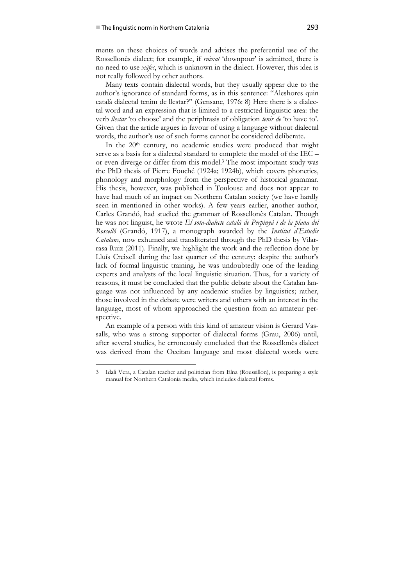ments on these choices of words and advises the preferential use of the Rossellonès dialect; for example, if *ruixat* 'downpour' is admitted, there is no need to use *xàfec*, which is unknown in the dialect. However, this idea is not really followed by other authors.

Many texts contain dialectal words, but they usually appear due to the author's ignorance of standard forms, as in this sentence: "Aleshores quin català dialectal tenim de llestar?" (Gensane, 1976: 8) Here there is a dialectal word and an expression that is limited to a restricted linguistic area: the verb *llestar* 'to choose' and the periphrasis of obligation *tenir de* 'to have to'. Given that the article argues in favour of using a language without dialectal words, the author's use of such forms cannot be considered deliberate.

In the  $20<sup>th</sup>$  century, no academic studies were produced that might serve as a basis for a dialectal standard to complete the model of the IEC – or even diverge or differ from this model.3 The most important study was the PhD thesis of Pierre Fouché (1924a; 1924b), which covers phonetics, phonology and morphology from the perspective of historical grammar. His thesis, however, was published in Toulouse and does not appear to have had much of an impact on Northern Catalan society (we have hardly seen in mentioned in other works). A few years earlier, another author, Carles Grandó, had studied the grammar of Rossellonès Catalan. Though he was not linguist, he wrote *El sota-dialecte català de Perpinyà i de la plana del Rosselló* (Grandó, 1917), a monograph awarded by the *Institut d'Estudis Catalans*, now exhumed and transliterated through the PhD thesis by Vilarrasa Ruiz (2011). Finally, we highlight the work and the reflection done by Lluís Creixell during the last quarter of the century: despite the author's lack of formal linguistic training, he was undoubtedly one of the leading experts and analysts of the local linguistic situation. Thus, for a variety of reasons, it must be concluded that the public debate about the Catalan language was not influenced by any academic studies by linguistics; rather, those involved in the debate were writers and others with an interest in the language, most of whom approached the question from an amateur perspective.

An example of a person with this kind of amateur vision is Gerard Vassalls, who was a strong supporter of dialectal forms (Grau, 2006) until, after several studies, he erroneously concluded that the Rossellonès dialect was derived from the Occitan language and most dialectal words were

<sup>3</sup> Idali Vera, a Catalan teacher and politician from Elna (Roussillon), is preparing a style manual for Northern Catalonia media, which includes dialectal forms.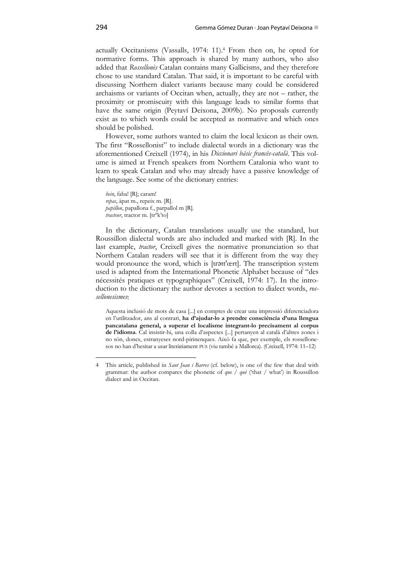actually Occitanisms (Vassalls, 1974: 11).4 From then on, he opted for normative forms. This approach is shared by many authors, who also added that *Rossellonès* Catalan contains many Gallicisms, and they therefore chose to use standard Catalan. That said, it is important to be careful with discussing Northern dialect variants because many could be considered archaisms or variants of Occitan when, actually, they are not – rather, the proximity or promiscuity with this language leads to similar forms that have the same origin (Peytaví Deixona, 2009b). No proposals currently exist as to which words could be accepted as normative and which ones should be polished.

However, some authors wanted to claim the local lexicon as their own. The first "Rossellonist" to include dialectal words in a dictionary was the aforementioned Creixell (1974), in his *Diccionari bàsic francès-català*. This volume is aimed at French speakers from Northern Catalonia who want to learn to speak Catalan and who may already have a passive knowledge of the language. See some of the dictionary entries:

*hein*, faba! [R]; caram! *repas*, àpat m., repeix m. [R]. *papillon*, papallona f., parpallol m [R]. *tracteur*, tractor m. [trºk'to]

In the dictionary, Catalan translations usually use the standard, but Roussillon dialectal words are also included and marked with [R]. In the last example, *tractor*, Creixell gives the normative pronunciation so that Northern Catalan readers will see that it is different from the way they would pronounce the word, which is [tratt'œrt]. The transcription system used is adapted from the International Phonetic Alphabet because of "des nécessités pratiques et typographiques" (Creixell, 1974: 17). In the introduction to the dictionary the author devotes a section to dialect words, *rossellonesismes*:

Aquesta inclusió de mots de casa [...] en comptes de crear una impressió diferenciadora en l'utilitzador, ans al contrari, **ha d'ajudar-lo a prendre consciència d'una llengua pancatalana general, a superar el localisme integrant-lo precisament al corpus de l'idioma**. Cal insistir-hi, una colla d'aspectes [...] pertanyen al català d'altres zones i no són, doncs, estranyeses nord-pirinenques. Això fa que, per exemple, els rossellonesos no han d'hesitar a usar literàriament PUS (viu també a Mallorca). (Creixell, 1974: 11–12)

<sup>4</sup> This article, published in *Sant Joan i Barres* (cf. below), is one of the few that deal with grammar: the author compares the phonetic of *que / què* ('that / what') in Roussillon dialect and in Occitan.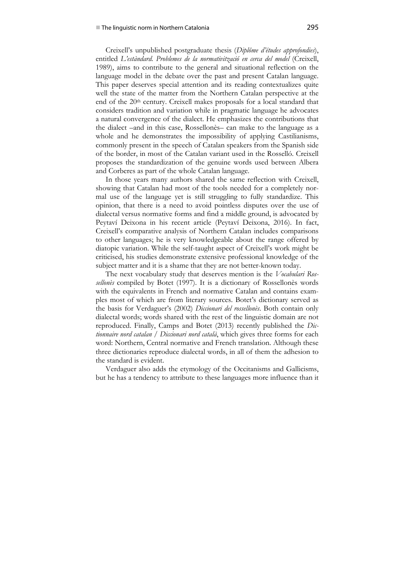### ■ The linguistic norm in Northern Catalonia 295

Creixell's unpublished postgraduate thesis (*Diplôme d'études approfondies*), entitled *L'estàndard. Problemes de la normativització en cerca del model* (Creixell, 1989), aims to contribute to the general and situational reflection on the language model in the debate over the past and present Catalan language. This paper deserves special attention and its reading contextualizes quite well the state of the matter from the Northern Catalan perspective at the end of the 20<sup>th</sup> century. Creixell makes proposals for a local standard that considers tradition and variation while in pragmatic language he advocates a natural convergence of the dialect. He emphasizes the contributions that the dialect –and in this case, Rossellonès– can make to the language as a whole and he demonstrates the impossibility of applying Castilianisms, commonly present in the speech of Catalan speakers from the Spanish side of the border, in most of the Catalan variant used in the Rosselló. Creixell proposes the standardization of the genuine words used between Albera and Corberes as part of the whole Catalan language.

In those years many authors shared the same reflection with Creixell, showing that Catalan had most of the tools needed for a completely normal use of the language yet is still struggling to fully standardize. This opinion, that there is a need to avoid pointless disputes over the use of dialectal versus normative forms and find a middle ground, is advocated by Peytaví Deixona in his recent article (Peytaví Deixona, 2016). In fact, Creixell's comparative analysis of Northern Catalan includes comparisons to other languages; he is very knowledgeable about the range offered by diatopic variation. While the self-taught aspect of Creixell's work might be criticised, his studies demonstrate extensive professional knowledge of the subject matter and it is a shame that they are not better-known today.

The next vocabulary study that deserves mention is the *Vocabulari Rossellonès* compiled by Botet (1997). It is a dictionary of Rossellonès words with the equivalents in French and normative Catalan and contains examples most of which are from literary sources. Botet's dictionary served as the basis for Verdaguer's (2002) *Diccionari del rossellonès*. Both contain only dialectal words; words shared with the rest of the linguistic domain are not reproduced. Finally, Camps and Botet (2013) recently published the *Dictionnaire nord catalan / Diccionari nord català*, which gives three forms for each word: Northern, Central normative and French translation. Although these three dictionaries reproduce dialectal words, in all of them the adhesion to the standard is evident.

Verdaguer also adds the etymology of the Occitanisms and Gallicisms, but he has a tendency to attribute to these languages more influence than it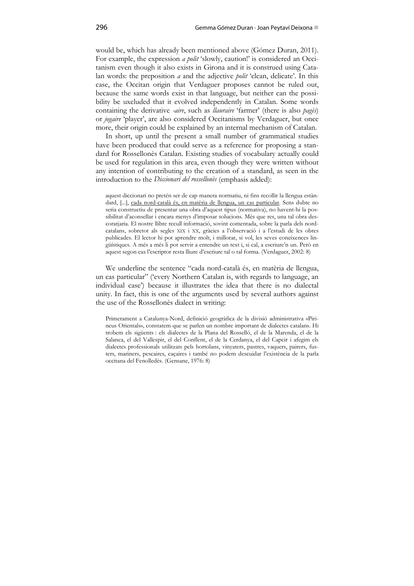would be, which has already been mentioned above (Gómez Duran, 2011). For example, the expression *a polit* 'slowly, caution!' is considered an Occitanism even though it also exists in Girona and it is construed using Catalan words: the preposition *a* and the adjective *polit* 'clean, delicate'. In this case, the Occitan origin that Verdaguer proposes cannot be ruled out, because the same words exist in that language, but neither can the possibility be uxcluded that it evolved independently in Catalan. Some words containing the derivative *-aire*, such as *llauraire* 'farmer' (there is also *pagès*) or *jogaire* 'player', are also considered Occitanisms by Verdaguer, but once more, their origin could be explained by an internal mechanism of Catalan.

In short, up until the present a small number of grammatical studies have been produced that could serve as a reference for proposing a standard for Rossellonès Catalan. Existing studies of vocabulary actually could be used for regulation in this area, even though they were written without any intention of contributing to the creation of a standard, as seen in the introduction to the *Diccionari del rossellonès* (emphasis added):

aquest diccionari no pretén ser de cap manera normatiu, ni fins recollir la llengua estàndard, [...], cada nord-català és, en matèria de llengua, un cas particular. Sens dubte no seria constructiu de presentar una obra d'aquest tipus (normativa), no havent-hi la possibilitat d'aconsellar i encara menys d'imposar solucions. Més que res, una tal obra descoratjaria. El nostre llibre recull informació, sovint comentada, sobre la parla dels nordcatalans, sobretot als segles XIX i XX, gràcies a l'observació i a l'estudi de les obres publicades. El lector hi pot aprendre molt, i millorar, si vol, les seves coneixences lingüístiques. A més a més li pot servir a entendre un text i, si cal, a escriure'n un. Però en aquest segon cas l'escriptor resta lliure d'escriure tal o tal forma. (Verdaguer, 2002: 8)

We underline the sentence "cada nord-català és, en matèria de llengua, un cas particular" ('every Northern Catalan is, with regards to language, an individual case') because it illustrates the idea that there is no dialectal unity. In fact, this is one of the arguments used by several authors against the use of the Rossellonès dialect in writing:

Primerament a Catalunya-Nord, definició geogràfica de la divisió administrativa «Pirineus Orientals», constatem que se parlen un nombre important de dialectes catalans. Hi trobem els sigüents : els dialectes de la Plana del Rosselló, el de la Marenda, el de la Salanca, el del Vallespir, el del Conflent, el de la Cerdanya, el del Capcir i afegim els dialectes professionals utilitzats pels hortolans, vinyaters, pastres, vaquers, pairers, fusters, mariners, pescaires, caçaires i també no podem descuidar l'existència de la parla occitana del Fenolledès. (Gensane, 1976: 8)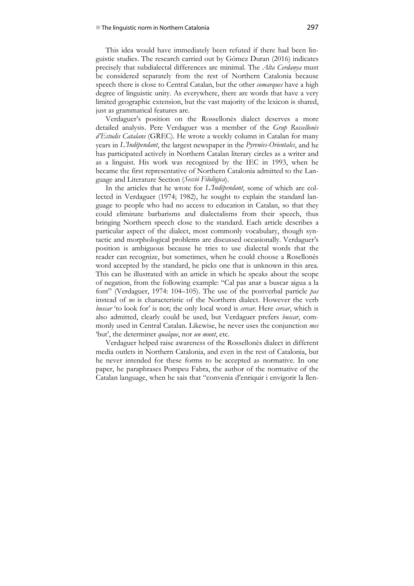This idea would have immediately been refuted if there had been linguistic studies. The research carried out by Gómez Duran (2016) indicates precisely that subdialectal differences are minimal. The *Alta Cerdanya* must be considered separately from the rest of Northern Catalonia because speech there is close to Central Catalan, but the other *comarques* have a high degree of linguistic unity. As everywhere, there are words that have a very limited geographic extension, but the vast majority of the lexicon is shared, just as grammatical features are.

Verdaguer's position on the Rossellonès dialect deserves a more detailed analysis. Pere Verdaguer was a member of the *Grup Rossellonès d'Estudis Catalans* (GREC). He wrote a weekly column in Catalan for many years in *L'Indépendant*, the largest newspaper in the *Pyrenées-Orientales*, and he has participated actively in Northern Catalan literary circles as a writer and as a linguist. His work was recognized by the IEC in 1993, when he became the first representative of Northern Catalonia admitted to the Language and Literature Section (*Secció Filològica*).

In the articles that he wrote for *L'Indépendant*, some of which are collected in Verdaguer (1974; 1982), he sought to explain the standard language to people who had no access to education in Catalan, so that they could eliminate barbarisms and dialectalisms from their speech, thus bringing Northern speech close to the standard. Each article describes a particular aspect of the dialect, most commonly vocabulary, though syntactic and morphological problems are discussed occasionally. Verdaguer's position is ambiguous because he tries to use dialectal words that the reader can recognize, but sometimes, when he could choose a Rosellonès word accepted by the standard, he picks one that is unknown in this area. This can be illustrated with an article in which he speaks about the scope of negation, from the following example: "Cal pas anar a buscar aigua a la font" (Verdaguer, 1974: 104–105). The use of the postverbal particle *pas* instead of *no* is characteristic of the Northern dialect. However the verb *buscar* 'to look for' is not; the only local word is *cercar*. Here *cercar*, which is also admitted, clearly could be used, but Verdaguer prefers *buscar*, commonly used in Central Catalan. Likewise, he never uses the conjunction *mes* 'but', the determiner *qualque*, nor *un munt*, etc.

Verdaguer helped raise awareness of the Rossellonès dialect in different media outlets in Northern Catalonia, and even in the rest of Catalonia, but he never intended for these forms to be accepted as normative. In one paper, he paraphrases Pompeu Fabra, the author of the normative of the Catalan language, when he sais that "convenia d'enriquir i envigorir la llen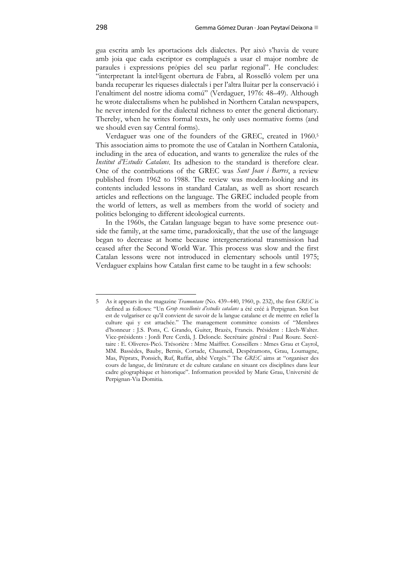gua escrita amb les aportacions dels dialectes. Per això s'havia de veure amb joia que cada escriptor es complagués a usar el major nombre de paraules i expressions pròpies del seu parlar regional". He concludes: "interpretant la intel∙ligent obertura de Fabra, al Rosselló volem per una banda recuperar les riqueses dialectals i per l'altra lluitar per la conservació i l'enaltiment del nostre idioma comú" (Verdaguer, 1976: 48–49). Although he wrote dialectalisms when he published in Northern Catalan newspapers, he never intended for the dialectal richness to enter the general dictionary. Thereby, when he writes formal texts, he only uses normative forms (and we should even say Central forms).

Verdaguer was one of the founders of the GREC, created in 1960.5 This association aims to promote the use of Catalan in Northern Catalonia, including in the area of education, and wants to generalize the rules of the *Institut d'Estudis Catalans*. Its adhesion to the standard is therefore clear. One of the contributions of the GREC was *Sant Joan i Barres*, a review published from 1962 to 1988. The review was modern-looking and its contents included lessons in standard Catalan, as well as short research articles and reflections on the language. The GREC included people from the world of letters, as well as members from the world of society and politics belonging to different ideological currents.

In the 1960s, the Catalan language began to have some presence outside the family, at the same time, paradoxically, that the use of the language began to decrease at home because intergenerational transmission had ceased after the Second World War. This process was slow and the first Catalan lessons were not introduced in elementary schools until 1975; Verdaguer explains how Catalan first came to be taught in a few schools:

<sup>5</sup> As it appears in the magazine *Tramontane* (No. 439–440, 1960, p. 232), the first *GREC* is defined as follows: "Un *Grup rossellonès d'estudis catalans* a été créé à Perpignan. Son but est de vulgariser ce qu'il convient de savoir de la langue catalane et de mettre en relief la culture qui y est attachée." The management committee consists of "Membres d'honneur : J.S. Pons, C. Grando, Guiter, Brazès, Francis. Président : Llech-Walter. Vice-présidents : Jordi Pere Cerdà, J. Deloncle. Secrétaire général : Paul Roure. Secrétaire : E. Oliveres-Picó. Trésorière : Mme Maiffret. Conseillers : Mmes Grau et Cayrol, MM. Bassèdes, Bauby, Bernis, Cortade, Chaumeil, Despéramons, Grau, Loumagne, Mas, Pépratx, Ponsich, Ruf, Ruffat, abbé Vergès." The *GREC* aims at "organiser des cours de langue, de littérature et de culture catalane en situant ces disciplines dans leur cadre géographique et historique". Information provided by Marie Grau, Université de Perpignan-Via Domitia.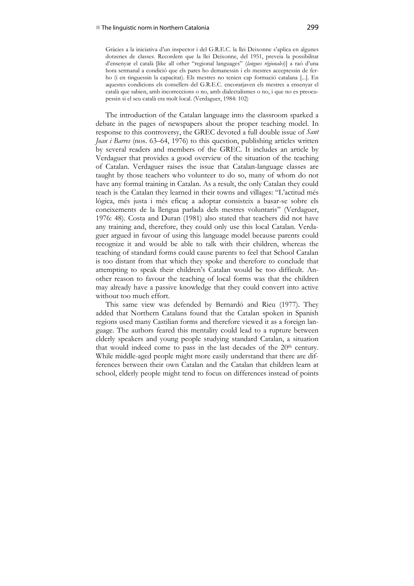Gràcies a la iniciativa d'un inspector i del G.R.E.C. la llei Deixonne s'aplica en algunes dotzenes de classes. Recordem que la llei Deixonne, del 1951, preveia la possibilitat d'ensenyar el català [like all other "regional languages" (*langues régionales*)] a raó d'una hora setmanal a condició que els pares ho demanessin i els mestres acceptessin de ferho (i en tinguessin la capacitat). Els mestres no tenien cap formació catalana [...]. En aquestes condicions els consellers del G.R.E.C. encoratjaven els mestres a ensenyar el català que sabien, amb incorreccions o no, amb dialectalismes o no, i que no es preocupessin si el seu català era molt local. (Verdaguer, 1984: 102)

The introduction of the Catalan language into the classroom sparked a debate in the pages of newspapers about the proper teaching model. In response to this controversy, the GREC devoted a full double issue of *Sant Joan i Barres* (nos. 63–64, 1976) to this question, publishing articles written by several readers and members of the GREC. It includes an article by Verdaguer that provides a good overview of the situation of the teaching of Catalan. Verdaguer raises the issue that Catalan-language classes are taught by those teachers who volunteer to do so, many of whom do not have any formal training in Catalan. As a result, the only Catalan they could teach is the Catalan they learned in their towns and villages: "L'actitud més lògica, més justa i més eficaç a adoptar consisteix a basar-se sobre els coneixements de la llengua parlada dels mestres voluntaris" (Verdaguer, 1976: 48). Costa and Duran (1981) also stated that teachers did not have any training and, therefore, they could only use this local Catalan. Verdaguer argued in favour of using this language model because parents could recognize it and would be able to talk with their children, whereas the teaching of standard forms could cause parents to feel that School Catalan is too distant from that which they spoke and therefore to conclude that attempting to speak their children's Catalan would be too difficult. Another reason to favour the teaching of local forms was that the children may already have a passive knowledge that they could convert into active without too much effort.

This same view was defended by Bernardó and Rieu (1977). They added that Northern Catalans found that the Catalan spoken in Spanish regions used many Castilian forms and therefore viewed it as a foreign language. The authors feared this mentality could lead to a rupture between elderly speakers and young people studying standard Catalan, a situation that would indeed come to pass in the last decades of the  $20<sup>th</sup>$  century. While middle-aged people might more easily understand that there are differences between their own Catalan and the Catalan that children learn at school, elderly people might tend to focus on differences instead of points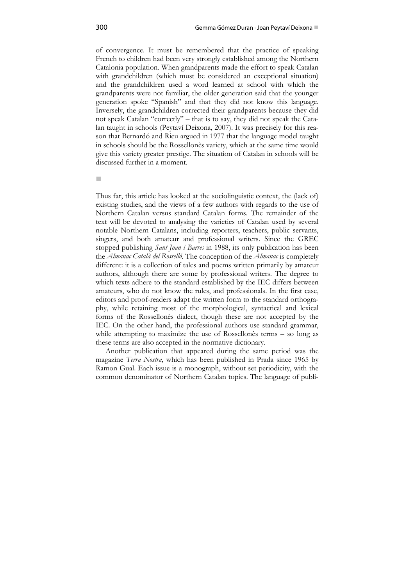of convergence. It must be remembered that the practice of speaking French to children had been very strongly established among the Northern Catalonia population. When grandparents made the effort to speak Catalan with grandchildren (which must be considered an exceptional situation) and the grandchildren used a word learned at school with which the grandparents were not familiar, the older generation said that the younger generation spoke "Spanish" and that they did not know this language. Inversely, the grandchildren corrected their grandparents because they did not speak Catalan "correctly" – that is to say, they did not speak the Catalan taught in schools (Peytaví Deixona, 2007). It was precisely for this reason that Bernardó and Rieu argued in 1977 that the language model taught in schools should be the Rossellonès variety, which at the same time would give this variety greater prestige. The situation of Catalan in schools will be discussed further in a moment.

a.

Thus far, this article has looked at the sociolinguistic context, the (lack of) existing studies, and the views of a few authors with regards to the use of Northern Catalan versus standard Catalan forms. The remainder of the text will be devoted to analysing the varieties of Catalan used by several notable Northern Catalans, including reporters, teachers, public servants, singers, and both amateur and professional writers. Since the GREC stopped publishing *Sant Joan i Barres* in 1988, its only publication has been the *Almanac Català del Rosselló*. The conception of the *Almanac* is completely different: it is a collection of tales and poems written primarily by amateur authors, although there are some by professional writers. The degree to which texts adhere to the standard established by the IEC differs between amateurs, who do not know the rules, and professionals. In the first case, editors and proof-readers adapt the written form to the standard orthography, while retaining most of the morphological, syntactical and lexical forms of the Rossellonès dialect, though these are not accepted by the IEC. On the other hand, the professional authors use standard grammar, while attempting to maximize the use of Rossellonès terms – so long as these terms are also accepted in the normative dictionary.

Another publication that appeared during the same period was the magazine *Terra Nostra*, which has been published in Prada since 1965 by Ramon Gual. Each issue is a monograph, without set periodicity, with the common denominator of Northern Catalan topics. The language of publi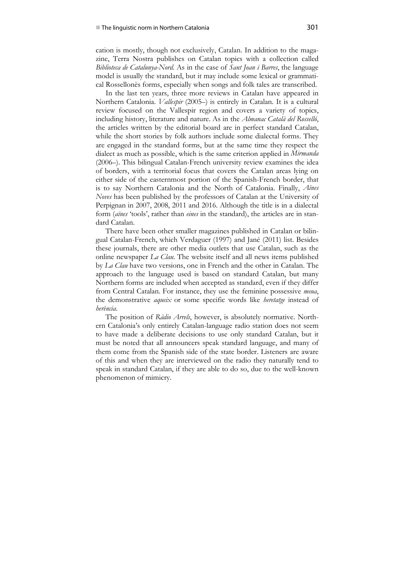cation is mostly, though not exclusively, Catalan. In addition to the magazine, Terra Nostra publishes on Catalan topics with a collection called *Biblioteca de Catalunya-Nord*. As in the case of *Sant Joan i Barres*, the language model is usually the standard, but it may include some lexical or grammatical Rossellonès forms, especially when songs and folk tales are transcribed.

In the last ten years, three more reviews in Catalan have appeared in Northern Catalonia. *Vallespir* (2005–) is entirely in Catalan. It is a cultural review focused on the Vallespir region and covers a variety of topics, including history, literature and nature. As in the *Almanac Català del Rosselló*, the articles written by the editorial board are in perfect standard Catalan, while the short stories by folk authors include some dialectal forms. They are engaged in the standard forms, but at the same time they respect the dialect as much as possible, which is the same criterion applied in *Mirmanda* (2006–). This bilingual Catalan-French university review examines the idea of borders, with a territorial focus that covers the Catalan areas lying on either side of the easternmost portion of the Spanish-French border, that is to say Northern Catalonia and the North of Catalonia. Finally, *Aïnes Noves* has been published by the professors of Catalan at the University of Perpignan in 2007, 2008, 2011 and 2016. Although the title is in a dialectal form (*aïnes* 'tools', rather than *eines* in the standard), the articles are in standard Catalan.

There have been other smaller magazines published in Catalan or bilingual Catalan-French, which Verdaguer (1997) and Jané (2011) list. Besides these journals, there are other media outlets that use Catalan, such as the online newspaper *La Clau*. The website itself and all news items published by *La Clau* have two versions, one in French and the other in Catalan. The approach to the language used is based on standard Catalan, but many Northern forms are included when accepted as standard, even if they differ from Central Catalan. For instance, they use the feminine possessive *meua*, the demonstrative *aqueix* or some specific words like *heretatge* instead of *herència*.

The position of *Ràdio Arrels*, however, is absolutely normative. Northern Catalonia's only entirely Catalan-language radio station does not seem to have made a deliberate decisions to use only standard Catalan, but it must be noted that all announcers speak standard language, and many of them come from the Spanish side of the state border. Listeners are aware of this and when they are interviewed on the radio they naturally tend to speak in standard Catalan, if they are able to do so, due to the well-known phenomenon of mimicry.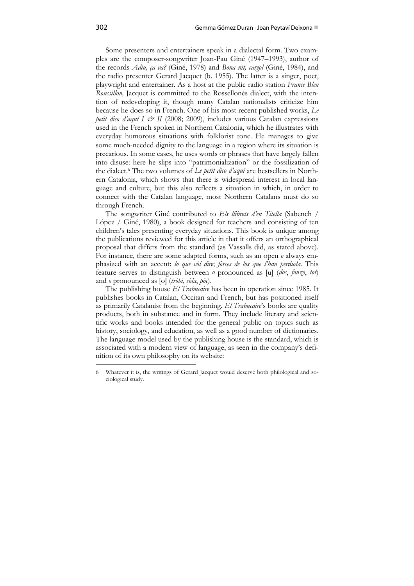Some presenters and entertainers speak in a dialectal form. Two examples are the composer-songwriter Joan-Pau Giné (1947–1993), author of the records *Adiu, ça va?* (Giné, 1978) and *Bona nit, cargol* (Giné, 1984), and the radio presenter Gerard Jacquet (b. 1955). The latter is a singer, poet, playwright and entertainer. As a host at the public radio station *France Bleu Roussillon,* Jacquet is committed to the Rossellonès dialect, with the intention of redeveloping it, though many Catalan nationalists criticize him because he does so in French. One of his most recent published works, *Le petit dico d'aquí I & II* (2008; 2009), includes various Catalan expressions used in the French spoken in Northern Catalonia, which he illustrates with everyday humorous situations with folklorist tone. He manages to give some much-needed dignity to the language in a region where its situation is precarious. In some cases, he uses words or phrases that have largely fallen into disuse: here he slips into "patrimonialization" or the fossilization of the dialect.6 The two volumes of *Le petit dico d'aquí* are bestsellers in Northern Catalonia, which shows that there is widespread interest in local language and culture, but this also reflects a situation in which, in order to connect with the Catalan language, most Northern Catalans must do so through French.

The songwriter Giné contributed to *Els llibrets d'en Titella* (Sabench / López / Giné, 1980), a book designed for teachers and consisting of ten children's tales presenting everyday situations. This book is unique among the publications reviewed for this article in that it offers an orthographical proposal that differs from the standard (as Vassalls did, as stated above). For instance, there are some adapted forms, such as an open *o* always emphasized with an accent: *lo que vòl dire*; *fòrces de los que l'han perduda*. This feature serves to distinguish between *o* pronounced as [u] (*dos*, *fonzo*, *tot*) and *o* pronounced as [o] (*tròbi*, *sòla*, *pòc*).

The publishing house *El Trabucaire* has been in operation since 1985. It publishes books in Catalan, Occitan and French, but has positioned itself as primarily Catalanist from the beginning. *El Trabucaire*'s books are quality products, both in substance and in form. They include literary and scientific works and books intended for the general public on topics such as history, sociology, and education, as well as a good number of dictionaries. The language model used by the publishing house is the standard, which is associated with a modern view of language, as seen in the company's definition of its own philosophy on its website:

<sup>6</sup> Whatever it is, the writings of Gerard Jacquet would deserve both philological and sociological study.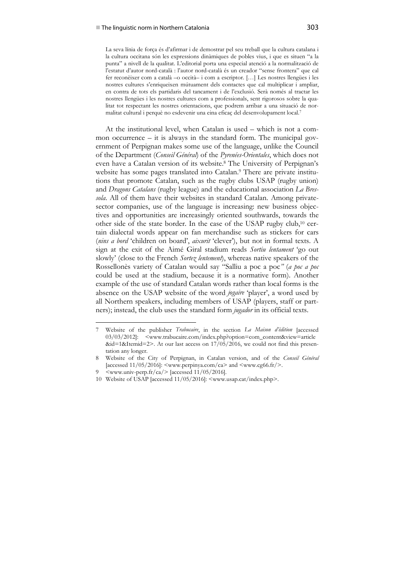#### ■ The linguistic norm in Northern Catalonia 303

La seva línia de força és d'afirmar i de demostrar pel seu treball que la cultura catalana i la cultura occitana són les expressions dinàmiques de pobles vius, i que es situen "a la punta" a nivell de la qualitat. L'editorial porta una especial atenció a la normalització de l'estatut d'autor nord-català : l'autor nord-català és un creador "sense frontera" que cal fer reconèixer com a català –o occità– i com a escriptor. […] Les nostres llengües i les nostres cultures s'enriqueixen mútuament dels contactes que cal multiplicar i ampliar, en contra de tots els partidaris del tancament i de l'exclusió. Serà només al tractar les nostres llengües i les nostres cultures com a professionals, sent rigorosos sobre la qualitat tot respectant les nostres orientacions, que podrem arribar a una situació de normalitat cultural i perquè no esdevenir una eina eficaç del desenvolupament local.7

At the institutional level, when Catalan is used – which is not a common occurrence – it is always in the standard form. The municipal government of Perpignan makes some use of the language, unlike the Council of the Department (*Conseil Général*) of the *Pyrenées-Orientales*, which does not even have a Catalan version of its website.8 The University of Perpignan's website has some pages translated into Catalan.<sup>9</sup> There are private institutions that promote Catalan, such as the rugby clubs USAP (rugby union) and *Dragons Catalans* (rugby league) and the educational association *La Bressola*. All of them have their websites in standard Catalan. Among privatesector companies, use of the language is increasing: new business objectives and opportunities are increasingly oriented southwards, towards the other side of the state border. In the case of the USAP rugby club,10 certain dialectal words appear on fan merchandise such as stickers for cars (*nins a bord* 'children on board', *aixurit* 'clever'), but not in formal texts. A sign at the exit of the Aimé Giral stadium reads *Sortiu lentament* 'go out slowly' (close to the French *Sortez lentement*), whereas native speakers of the Rossellonès variety of Catalan would say "Salliu a poc a poc*"* (*a poc a poc* could be used at the stadium, because it is a normative form). Another example of the use of standard Catalan words rather than local forms is the absence on the USAP website of the word *jogaire* 'player', a word used by all Northern speakers, including members of USAP (players, staff or partners); instead, the club uses the standard form *jugador* in its official texts.

<sup>7</sup> Website of the publisher *Trabucaire*, in the section *La Maison d'édition* [accessed 03/03/2012]: <www.trabucaire.com/index.php?option=com\_content&view=article  $\&\text{id}=1\&\text{Itemid}=2$ . At our last access on  $17/05/2016$ , we could not find this presentation any longer.

<sup>8</sup> Website of the City of Perpignan, in Catalan version, and of the *Conseil Général* [accessed  $11/05/2016$ ]:  $\langle$ www.perpinya.com/ca> and  $\langle$ www.cg66.fr/>.

<sup>9</sup>  $\langle$ www.univ-perp.fr/ca/> [accessed 11/05/2016].

<sup>10</sup> Website of USAP [accessed 11/05/2016]: <www.usap.cat/index.php>.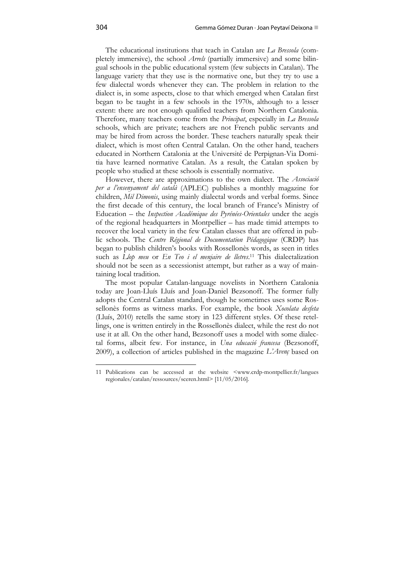The educational institutions that teach in Catalan are *La Bressola* (completely immersive), the school *Arrels* (partially immersive) and some bilingual schools in the public educational system (few subjects in Catalan). The language variety that they use is the normative one, but they try to use a few dialectal words whenever they can. The problem in relation to the dialect is, in some aspects, close to that which emerged when Catalan first began to be taught in a few schools in the 1970s, although to a lesser extent: there are not enough qualified teachers from Northern Catalonia. Therefore, many teachers come from the *Principat*, especially in *La Bressola* schools, which are private; teachers are not French public servants and may be hired from across the border. These teachers naturally speak their dialect, which is most often Central Catalan. On the other hand, teachers educated in Northern Catalonia at the Université de Perpignan-Via Domitia have learned normative Catalan. As a result, the Catalan spoken by people who studied at these schools is essentially normative.

However, there are approximations to the own dialect. The *Associació per a l'ensenyament del català* (APLEC) publishes a monthly magazine for children, *Mil Dimonis*, using mainly dialectal words and verbal forms. Since the first decade of this century, the local branch of France's Ministry of Education – the *Inspection Académique des Pyrénées-Orientales* under the aegis of the regional headquarters in Montpellier – has made timid attempts to recover the local variety in the few Catalan classes that are offered in public schools. The *Centre Régional de Documentation Pédagogique* (CRDP) has began to publish children's books with Rossellonès words, as seen in titles such as *Llop meu* or *En Teo i el menjaire de lletres*. 11 This dialectalization should not be seen as a secessionist attempt, but rather as a way of maintaining local tradition.

The most popular Catalan-language novelists in Northern Catalonia today are Joan-Lluís Lluís and Joan-Daniel Bezsonoff. The former fully adopts the Central Catalan standard, though he sometimes uses some Rossellonès forms as witness marks. For example, the book *Xocolata desfeta* (Lluís, 2010) retells the same story in 123 different styles. Of these retellings, one is written entirely in the Rossellonès dialect, while the rest do not use it at all. On the other hand, Bezsonoff uses a model with some dialectal forms, albeit few. For instance, in *Una educació francesa* (Bezsonoff, 2009), a collection of articles published in the magazine *L'Avenç* based on

<sup>11</sup> Publications can be accessed at the website <www.crdp-montpellier.fr/langues regionales/catalan/ressources/sceren.html> [11/05/2016].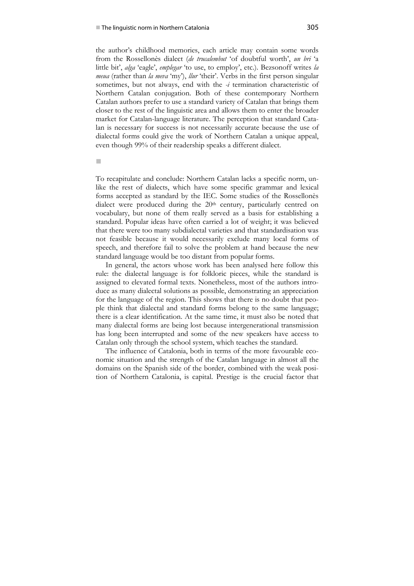the author's childhood memories, each article may contain some words from the Rossellonès dialect (*de trucalembut* 'of doubtful worth', *un bri* 'a little bit', *alga* 'eagle', *emplegar* 'to use, to employ', etc.). Bezsonoff writes *la meua* (rather than *la meva* 'my'), *llur* 'their'. Verbs in the first person singular sometimes, but not always, end with the *-i* termination characteristic of Northern Catalan conjugation. Both of these contemporary Northern Catalan authors prefer to use a standard variety of Catalan that brings them closer to the rest of the linguistic area and allows them to enter the broader market for Catalan-language literature. The perception that standard Catalan is necessary for success is not necessarily accurate because the use of dialectal forms could give the work of Northern Catalan a unique appeal, even though 99% of their readership speaks a different dialect.

п

To recapitulate and conclude: Northern Catalan lacks a specific norm, unlike the rest of dialects, which have some specific grammar and lexical forms accepted as standard by the IEC. Some studies of the Rossellonès dialect were produced during the 20<sup>th</sup> century, particularly centred on vocabulary, but none of them really served as a basis for establishing a standard. Popular ideas have often carried a lot of weight; it was believed that there were too many subdialectal varieties and that standardisation was not feasible because it would necessarily exclude many local forms of speech, and therefore fail to solve the problem at hand because the new standard language would be too distant from popular forms.

In general, the actors whose work has been analysed here follow this rule: the dialectal language is for folkloric pieces, while the standard is assigned to elevated formal texts. Nonetheless, most of the authors introduce as many dialectal solutions as possible, demonstrating an appreciation for the language of the region. This shows that there is no doubt that people think that dialectal and standard forms belong to the same language; there is a clear identification. At the same time, it must also be noted that many dialectal forms are being lost because intergenerational transmission has long been interrupted and some of the new speakers have access to Catalan only through the school system, which teaches the standard.

The influence of Catalonia, both in terms of the more favourable economic situation and the strength of the Catalan language in almost all the domains on the Spanish side of the border, combined with the weak position of Northern Catalonia, is capital. Prestige is the crucial factor that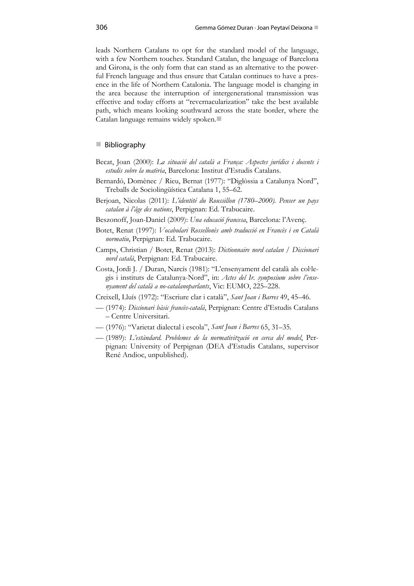leads Northern Catalans to opt for the standard model of the language, with a few Northern touches. Standard Catalan, the language of Barcelona and Girona, is the only form that can stand as an alternative to the powerful French language and thus ensure that Catalan continues to have a presence in the life of Northern Catalonia. The language model is changing in the area because the interruption of intergenerational transmission was effective and today efforts at "revernacularization" take the best available path, which means looking southward across the state border, where the Catalan language remains widely spoken.

### ■ Bibliography

- Becat, Joan (2000): *La situació del català a França: Aspectes jurídics i docents i estudis sobre la matèria*, Barcelona: Institut d'Estudis Catalans.
- Bernardó, Domènec / Rieu, Bernat (1977): "Diglòssia a Catalunya Nord", Treballs de Sociolingüística Catalana 1, 55–62.
- Berjoan, Nicolas (2011): *L'identité du Roussillon (1780–2000). Penser un pays catalan à l'âge des nations*, Perpignan: Ed. Trabucaire.
- Beszonoff, Joan-Daniel (2009): *Una educació francesa*, Barcelona: l'Avenç.
- Botet, Renat (1997): *Vocabulari Rossellonès amb traducció en Francès i en Català normatiu*, Perpignan: Ed. Trabucaire.
- Camps, Christian / Botet, Renat (2013): *Dictionnaire nord catalan / Diccionari nord català*, Perpignan: Ed. Trabucaire.
- Costa, Jordi J. / Duran, Narcís (1981): "L'ensenyament del català als col∙legis i instituts de Catalunya-Nord", in: *Actes del Ir. symposium sobre l'ensenyament del català a no-catalanoparlants*, Vic: EUMO, 225–228.
- Creixell, Lluís (1972): "Escriure clar i català", *Sant Joan i Barres* 49, 45–46.
- (1974): *Diccionari bàsic francès-català*, Perpignan: Centre d'Estudis Catalans – Centre Universitari.
- (1976): "Varietat dialectal i escola", *Sant Joan i Barres* 65, 31–35.
- (1989): *L'estàndard. Problemes de la normativització en cerca del model*, Perpignan: University of Perpignan (DEA d'Estudis Catalans, supervisor René Andioc, unpublished).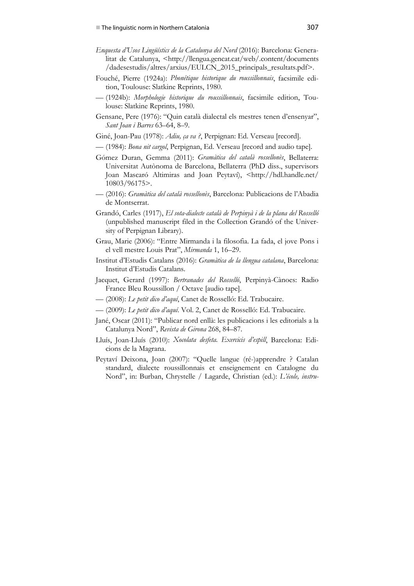- *Enquesta d'Usos Lingüístics de la Catalunya del Nord* (2016): Barcelona: Generalitat de Catalunya, <http://llengua.gencat.cat/web/.content/documents /dadesestudis/altres/arxius/EULCN\_2015\_principals\_resultats.pdf>.
- Fouché, Pierre (1924a): *Phonétique historique du roussillonnais*, facsimile edition, Toulouse: Slatkine Reprints, 1980.
- (1924b): *Morphologie historique du roussillonnais*, facsimile edition, Toulouse: Slatkine Reprints, 1980.
- Gensane, Pere (1976): "Quin català dialectal els mestres tenen d'ensenyar", *Sant Joan i Barres* 63–64, 8–9.
- Giné, Joan-Pau (1978): *Adiu, ça va ?*, Perpignan: Ed. Verseau [record].
- (1984): *Bona nit cargol*, Perpignan, Ed. Verseau [record and audio tape].
- Gómez Duran, Gemma (2011): *Gramàtica del català rossellonès*, Bellaterra: Universitat Autònoma de Barcelona, Bellaterra (PhD diss., supervisors Joan Mascaró Altimiras and Joan Peytaví), <http://hdl.handle.net/ 10803/96175>.
- (2016): *Gramàtica del català rossellonès*, Barcelona: Publicacions de l'Abadia de Montserrat.
- Grandó, Carles (1917), *El sota-dialecte català de Perpinyà i de la plana del Rosselló* (unpublished manuscript filed in the Collection Grandó of the University of Perpignan Library).
- Grau, Marie (2006): "Entre Mirmanda i la filosofia. La fada, el jove Pons i el vell mestre Louis Prat", *Mirmanda* 1, 16–29.
- Institut d'Estudis Catalans (2016): *Gramàtica de la llengua catalana*, Barcelona: Institut d'Estudis Catalans.
- Jacquet, Gerard (1997): *Bertranades del Rosselló*, Perpinyà-Cànoes: Radio France Bleu Roussillon / Octave [audio tape].
- (2008): *Le petit dico d'aquí*, Canet de Rosselló: Ed. Trabucaire.
- (2009): *Le petit dico d'aquí*. Vol. 2, Canet de Rosselló: Ed. Trabucaire.
- Jané, Oscar (2011): "Publicar nord enllà: les publicacions i les editorials a la Catalunya Nord", *Revista de Girona* 268, 84–87.
- Lluís, Joan-Lluís (2010): *Xocolata desfeta. Exercicis d'espill*, Barcelona: Edicions de la Magrana.
- Peytaví Deixona, Joan (2007): "Quelle langue (ré-)apprendre ? Catalan standard, dialecte roussillonnais et enseignement en Catalogne du Nord", in: Burban, Chrystelle / Lagarde, Christian (ed.): *L'école, instru-*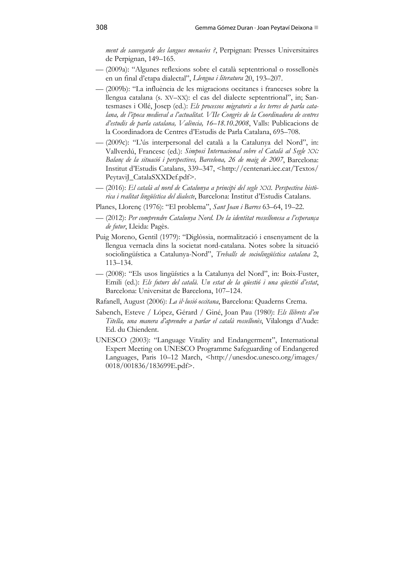*ment de sauvegarde des langues menacées ?*, Perpignan: Presses Universitaires de Perpignan, 149–165.

- (2009a): "Algunes reflexions sobre el català septentrional o rossellonès en un final d'etapa dialectal", *Llengua i literatura* 20, 193–207.
- (2009b): "La influència de les migracions occitanes i franceses sobre la llengua catalana (s. XV–XX): el cas del dialecte septentrional", in; Santesmases i Ollé, Josep (ed.): *Els processos migratoris a les terres de parla catalana, de l'època medieval a l'actualitat. VIIe Congrès de la Coordinadora de centres d'estudis de parla catalana, València, 16–18.10.2008*, Valls: Publicacions de la Coordinadora de Centres d'Estudis de Parla Catalana, 695–708.
- (2009c): "L'ús interpersonal del català a la Catalunya del Nord", in: Vallverdú, Francesc (ed.): *Simposi Internacional sobre el Català al Segle XX: Balanç de la situació i perspectives, Barcelona, 26 de maig de 2007*, Barcelona: Institut d'Estudis Catalans, 339–347, <http://centenari.iec.cat/Textos/ PeytaviJ\_CatalaSXXDef.pdf>.
- (2016): *El català al nord de Catalunya a principi del segle XXI. Perspectiva històrica i realitat lingüística del dialecte*, Barcelona: Institut d'Estudis Catalans.
- Planes, Llorenç (1976): "El problema", *Sant Joan i Barres* 63–64, 19–22.
- (2012): *Per comprendre Catalunya Nord. De la identitat rossellonesa a l'esperança de futur*, Lleida: Pagès.
- Puig Moreno, Gentil (1979): "Diglòssia, normalització i ensenyament de la llengua vernacla dins la societat nord-catalana. Notes sobre la situació sociolingüística a Catalunya-Nord", *Treballs de sociolingüística catalana* 2, 113–134.
- (2008): "Els usos lingüístics a la Catalunya del Nord", in: Boix-Fuster, Emili (ed.): *Els futurs del català. Un estat de la qüestió i una qüestió d'estat*, Barcelona: Universitat de Barcelona, 107–124.
- Rafanell, August (2006): *La il∙lusió occitana*, Barcelona: Quaderns Crema.
- Sabench, Esteve / López, Gérard / Giné, Joan Pau (1980): *Els llibrets d'en Titella, una manera d'aprendre a parlar el català rossellonès*, Vilalonga d'Aude: Ed. du Chiendent.
- UNESCO (2003): "Language Vitality and Endangerment", International Expert Meeting on UNESCO Programme Safeguarding of Endangered Languages, Paris 10–12 March, <http://unesdoc.unesco.org/images/ 0018/001836/183699E.pdf>.